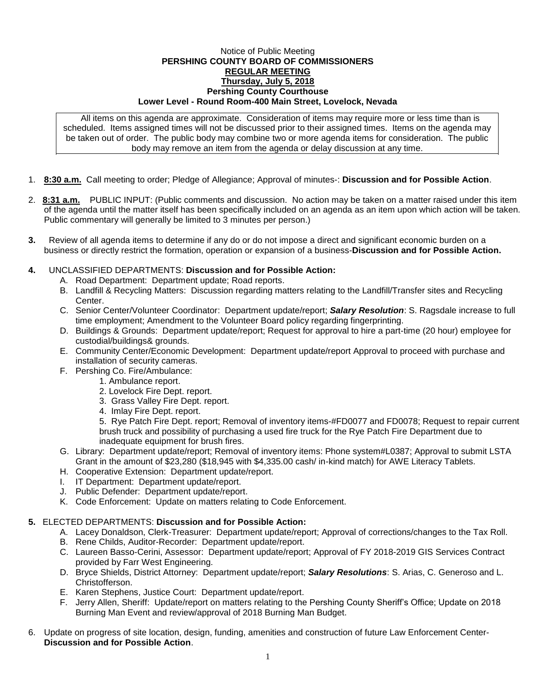## Notice of Public Meeting **PERSHING COUNTY BOARD OF COMMISSIONERS REGULAR MEETING Thursday, July 5, 2018 Pershing County Courthouse Lower Level - Round Room-400 Main Street, Lovelock, Nevada**

All items on this agenda are approximate. Consideration of items may require more or less time than is scheduled. Items assigned times will not be discussed prior to their assigned times. Items on the agenda may be taken out of order. The public body may combine two or more agenda items for consideration. The public body may remove an item from the agenda or delay discussion at any time.

- 1. **8:30 a.m.** Call meeting to order; Pledge of Allegiance; Approval of minutes-: **Discussion and for Possible Action**.
- 2. **8:31 a.m.** PUBLIC INPUT: (Public comments and discussion. No action may be taken on a matter raised under this item of the agenda until the matter itself has been specifically included on an agenda as an item upon which action will be taken. Public commentary will generally be limited to 3 minutes per person.)
- **3.** Review of all agenda items to determine if any do or do not impose a direct and significant economic burden on a business or directly restrict the formation, operation or expansion of a business-**Discussion and for Possible Action.**

## **4.** UNCLASSIFIED DEPARTMENTS: **Discussion and for Possible Action:**

- A. Road Department: Department update; Road reports.
- B. Landfill & Recycling Matters: Discussion regarding matters relating to the Landfill/Transfer sites and Recycling Center.
- C. Senior Center/Volunteer Coordinator: Department update/report; *Salary Resolution*: S. Ragsdale increase to full time employment; Amendment to the Volunteer Board policy regarding fingerprinting.
- D. Buildings & Grounds: Department update/report; Request for approval to hire a part-time (20 hour) employee for custodial/buildings& grounds.
- E. Community Center/Economic Development: Department update/report Approval to proceed with purchase and installation of security cameras.
- F. Pershing Co. Fire/Ambulance:
	- 1. Ambulance report.
	- 2. Lovelock Fire Dept. report.
	- 3. Grass Valley Fire Dept. report.
	- 4. Imlay Fire Dept. report.

5. Rye Patch Fire Dept. report; Removal of inventory items-#FD0077 and FD0078; Request to repair current brush truck and possibility of purchasing a used fire truck for the Rye Patch Fire Department due to inadequate equipment for brush fires.

- G. Library: Department update/report; Removal of inventory items: Phone system#L0387; Approval to submit LSTA Grant in the amount of \$23,280 (\$18,945 with \$4,335.00 cash/ in-kind match) for AWE Literacy Tablets.
- H. Cooperative Extension: Department update/report.
- I. IT Department: Department update/report.
- J. Public Defender: Department update/report.
- K. Code Enforcement: Update on matters relating to Code Enforcement.

## **5.** ELECTED DEPARTMENTS: **Discussion and for Possible Action:**

- A. Lacey Donaldson, Clerk-Treasurer: Department update/report; Approval of corrections/changes to the Tax Roll.
- B. Rene Childs, Auditor-Recorder: Department update/report.
- C. Laureen Basso-Cerini, Assessor: Department update/report; Approval of FY 2018-2019 GIS Services Contract provided by Farr West Engineering.
- D. Bryce Shields, District Attorney: Department update/report; *Salary Resolutions*: S. Arias, C. Generoso and L. Christofferson.
- E. Karen Stephens, Justice Court: Department update/report.
- F. Jerry Allen, Sheriff: Update/report on matters relating to the Pershing County Sheriff's Office; Update on 2018 Burning Man Event and review/approval of 2018 Burning Man Budget.
- 6. Update on progress of site location, design, funding, amenities and construction of future Law Enforcement Center-**Discussion and for Possible Action**.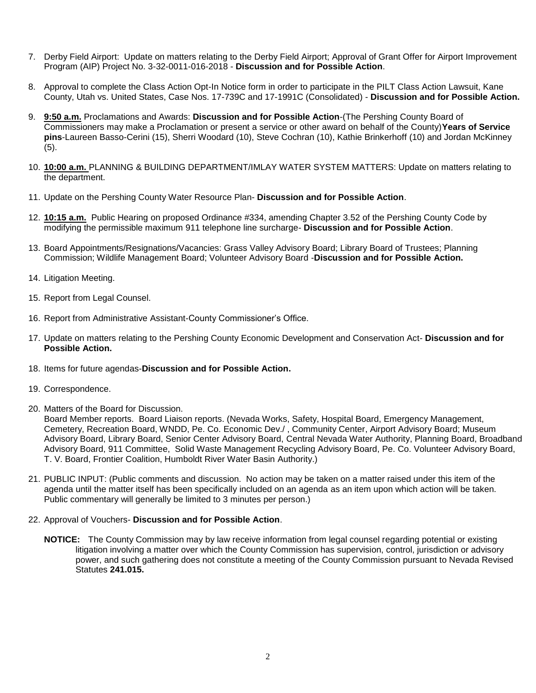- 7. Derby Field Airport: Update on matters relating to the Derby Field Airport; Approval of Grant Offer for Airport Improvement Program (AIP) Project No. 3-32-0011-016-2018 - **Discussion and for Possible Action**.
- 8. Approval to complete the Class Action Opt-In Notice form in order to participate in the PILT Class Action Lawsuit, Kane County, Utah vs. United States, Case Nos. 17-739C and 17-1991C (Consolidated) - **Discussion and for Possible Action.**
- 9. **9:50 a.m.** Proclamations and Awards: **Discussion and for Possible Action**-(The Pershing County Board of Commissioners may make a Proclamation or present a service or other award on behalf of the County)**Years of Service pins**-Laureen Basso-Cerini (15), Sherri Woodard (10), Steve Cochran (10), Kathie Brinkerhoff (10) and Jordan McKinney  $(5)$ .
- 10. **10:00 a.m.** PLANNING & BUILDING DEPARTMENT/IMLAY WATER SYSTEM MATTERS: Update on matters relating to the department.
- 11. Update on the Pershing County Water Resource Plan- **Discussion and for Possible Action**.
- 12. **10:15 a.m.** Public Hearing on proposed Ordinance #334, amending Chapter 3.52 of the Pershing County Code by modifying the permissible maximum 911 telephone line surcharge- **Discussion and for Possible Action**.
- 13. Board Appointments/Resignations/Vacancies: Grass Valley Advisory Board; Library Board of Trustees; Planning Commission; Wildlife Management Board; Volunteer Advisory Board -**Discussion and for Possible Action.**
- 14. Litigation Meeting.
- 15. Report from Legal Counsel.
- 16. Report from Administrative Assistant-County Commissioner's Office.
- 17. Update on matters relating to the Pershing County Economic Development and Conservation Act- **Discussion and for Possible Action.**
- 18. Items for future agendas-**Discussion and for Possible Action.**
- 19. Correspondence.
- 20. Matters of the Board for Discussion.

Board Member reports. Board Liaison reports. (Nevada Works, Safety, Hospital Board, Emergency Management, Cemetery, Recreation Board, WNDD, Pe. Co. Economic Dev./ , Community Center, Airport Advisory Board; Museum Advisory Board, Library Board, Senior Center Advisory Board, Central Nevada Water Authority, Planning Board, Broadband Advisory Board, 911 Committee, Solid Waste Management Recycling Advisory Board, Pe. Co. Volunteer Advisory Board, T. V. Board, Frontier Coalition, Humboldt River Water Basin Authority.)

- 21. PUBLIC INPUT: (Public comments and discussion. No action may be taken on a matter raised under this item of the agenda until the matter itself has been specifically included on an agenda as an item upon which action will be taken. Public commentary will generally be limited to 3 minutes per person.)
- 22. Approval of Vouchers- **Discussion and for Possible Action**.
	- **NOTICE:** The County Commission may by law receive information from legal counsel regarding potential or existing litigation involving a matter over which the County Commission has supervision, control, jurisdiction or advisory power, and such gathering does not constitute a meeting of the County Commission pursuant to Nevada Revised Statutes **241.015.**